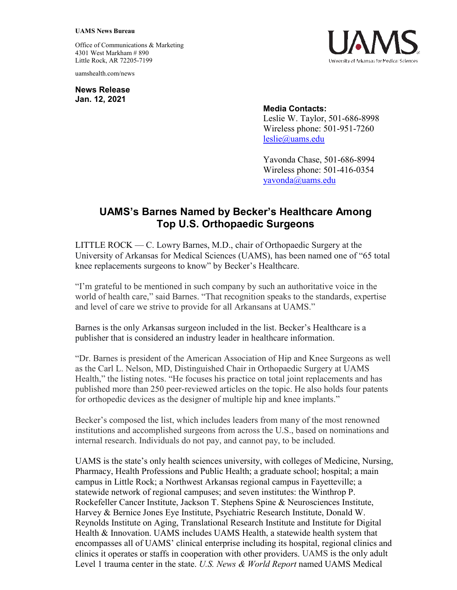## **UAMS News Bureau**

Office of Communications & Marketing 4301 West Markham # 890 Little Rock, AR 72205-7199

uamshealth.com/news

**News Release Jan. 12, 2021**



## **Media Contacts:**

Leslie W. Taylor, 501-686-8998 Wireless phone: 501-951-7260 [leslie@uams.edu](mailto:leslie@uams.edu)

Yavonda Chase, 501-686-8994 Wireless phone: 501-416-0354 [yavonda@uams.edu](mailto:yavonda@uams.edu) 

## **UAMS's Barnes Named by Becker's Healthcare Among Top U.S. Orthopaedic Surgeons**

LITTLE ROCK — C. Lowry Barnes, M.D., chair of Orthopaedic Surgery at the University of Arkansas for Medical Sciences (UAMS), has been named one of "65 total knee replacements surgeons to know" by Becker's Healthcare.

"I'm grateful to be mentioned in such company by such an authoritative voice in the world of health care," said Barnes. "That recognition speaks to the standards, expertise and level of care we strive to provide for all Arkansans at UAMS."

Barnes is the only Arkansas surgeon included in the list. Becker's Healthcare is a publisher that is considered an industry leader in healthcare information.

"Dr. Barnes is president of the American Association of Hip and Knee Surgeons as well as the Carl L. Nelson, MD, Distinguished Chair in Orthopaedic Surgery at UAMS Health," the listing notes. "He focuses his practice on total joint replacements and has published more than 250 peer-reviewed articles on the topic. He also holds four patents for orthopedic devices as the designer of multiple hip and knee implants."

Becker's composed the list, which includes leaders from many of the most renowned institutions and accomplished surgeons from across the U.S., based on nominations and internal research. Individuals do not pay, and cannot pay, to be included.

UAMS is the state's only health sciences university, with colleges of Medicine, Nursing, Pharmacy, Health Professions and Public Health; a graduate school; hospital; a main campus in Little Rock; a Northwest Arkansas regional campus in Fayetteville; a statewide network of regional campuses; and seven institutes: the Winthrop P. Rockefeller Cancer Institute, Jackson T. Stephens Spine & Neurosciences Institute, Harvey & Bernice Jones Eye Institute, Psychiatric Research Institute, Donald W. Reynolds Institute on Aging, Translational Research Institute and Institute for Digital Health & Innovation. UAMS includes UAMS Health, a statewide health system that encompasses all of UAMS' clinical enterprise including its hospital, regional clinics and clinics it operates or staffs in cooperation with other providers. UAMS is the only adult Level 1 trauma center in the state. *U.S. News & World Report* named UAMS Medical